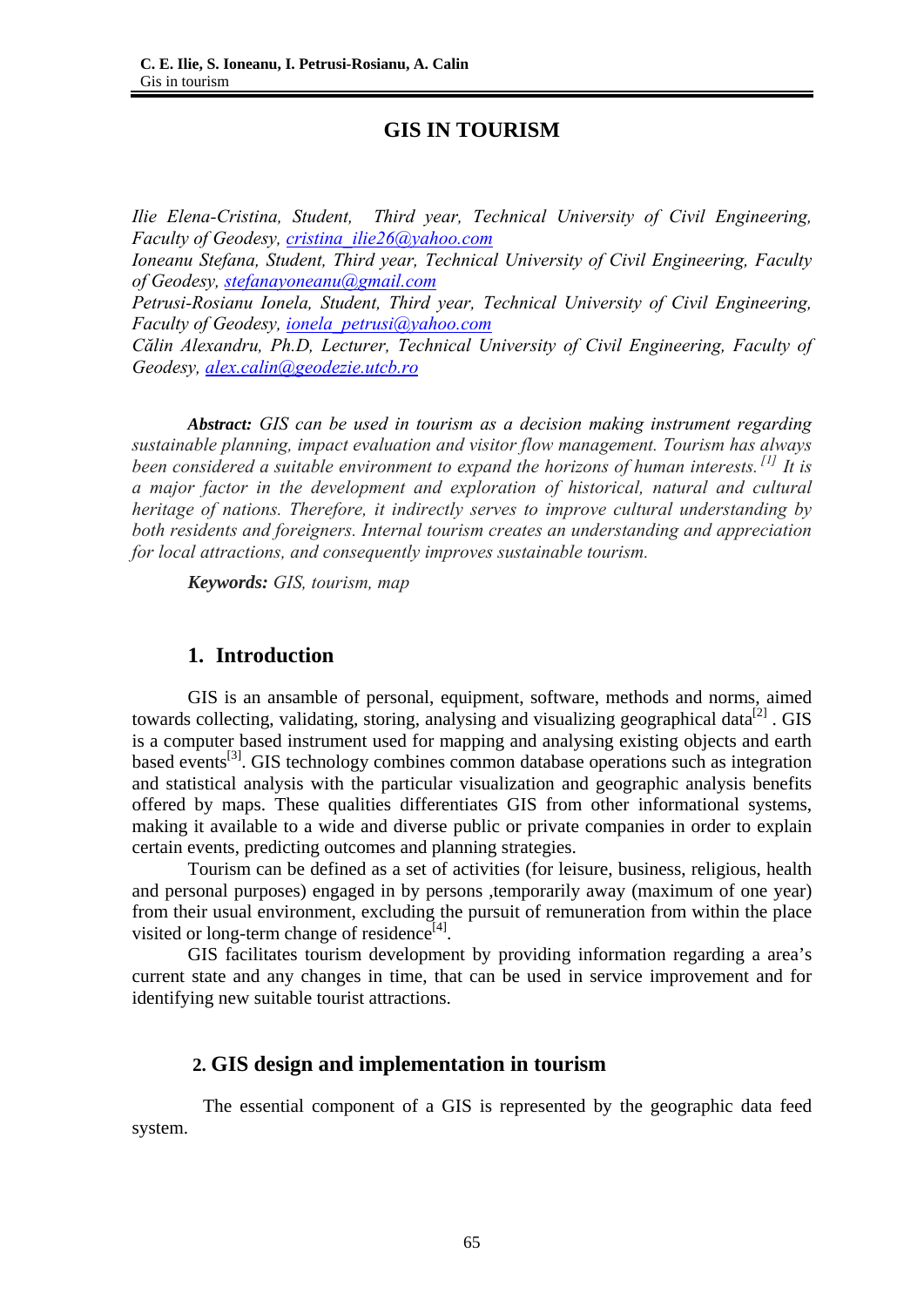# **GIS IN TOURISM**

*Ilie Elena-Cristina, Student, Third year, Technical University of Civil Engineering, Faculty of Geodesy, cristina\_ilie26@yahoo.com*

*Ioneanu Stefana, Student, Third year, Technical University of Civil Engineering, Faculty of Geodesy, stefanayoneanu@gmail.com*

*Petrusi-Rosianu Ionela, Student, Third year, Technical University of Civil Engineering, Faculty of Geodesy, ionela\_petrusi@yahoo.com*

*Călin Alexandru, Ph.D, Lecturer, Technical University of Civil Engineering, Faculty of Geodesy, alex.calin@geodezie.utcb.ro*

 *Abstract: GIS can be used in tourism as a decision making instrument regarding sustainable planning, impact evaluation and visitor flow management. Tourism has always been considered a suitable environment to expand the horizons of human interests. [1] It is a major factor in the development and exploration of historical, natural and cultural heritage of nations. Therefore, it indirectly serves to improve cultural understanding by both residents and foreigners. Internal tourism creates an understanding and appreciation for local attractions, and consequently improves sustainable tourism.* 

 *Keywords: GIS, tourism, map*

# **1. Introduction**

GIS is an ansamble of personal, equipment, software, methods and norms, aimed towards collecting, validating, storing, analysing and visualizing geographical data<sup>[2]</sup>. GIS is a computer based instrument used for mapping and analysing existing objects and earth based events<sup>[3]</sup>. GIS technology combines common database operations such as integration and statistical analysis with the particular visualization and geographic analysis benefits offered by maps. These qualities differentiates GIS from other informational systems, making it available to a wide and diverse public or private companies in order to explain certain events, predicting outcomes and planning strategies.

Tourism can be defined as a set of activities (for leisure, business, religious, health and personal purposes) engaged in by persons ,temporarily away (maximum of one year) from their usual environment, excluding the pursuit of remuneration from within the place visited or long-term change of residence<sup>[4]</sup>.

 GIS facilitates tourism development by providing information regarding a area's current state and any changes in time, that can be used in service improvement and for identifying new suitable tourist attractions.

## **2. GIS design and implementation in tourism**

 The essential component of a GIS is represented by the geographic data feed system.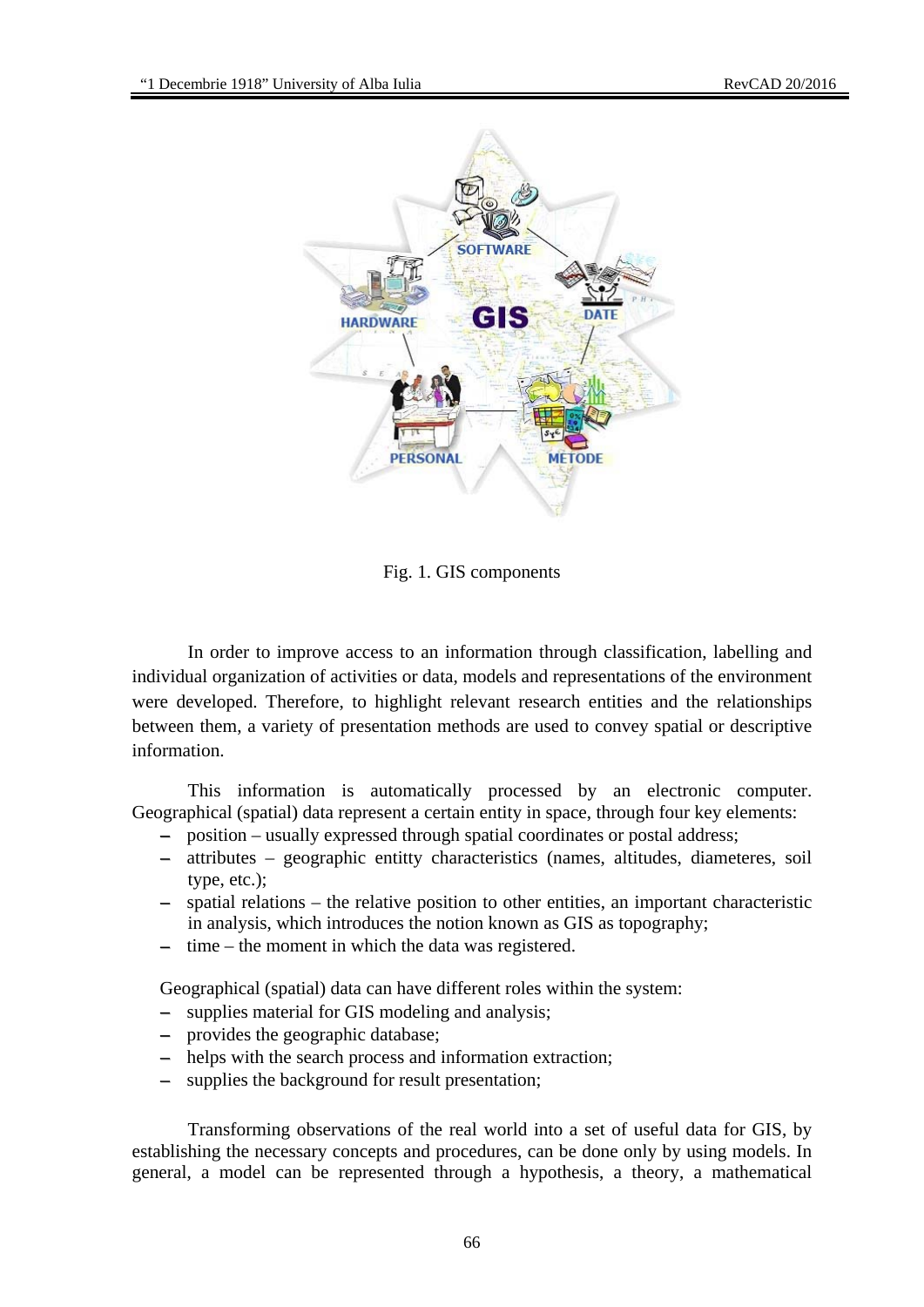

Fig. 1. GIS components

In order to improve access to an information through classification, labelling and individual organization of activities or data, models and representations of the environment were developed. Therefore, to highlight relevant research entities and the relationships between them, a variety of presentation methods are used to convey spatial or descriptive information.

This information is automatically processed by an electronic computer. Geographical (spatial) data represent a certain entity in space, through four key elements:

- − position usually expressed through spatial coordinates or postal address;
- − attributes geographic entitty characteristics (names, altitudes, diameteres, soil type, etc.);
- − spatial relations the relative position to other entities, an important characteristic in analysis, which introduces the notion known as GIS as topography;
- − time the moment in which the data was registered.

Geographical (spatial) data can have different roles within the system:

- supplies material for GIS modeling and analysis;
- − provides the geographic database;
- − helps with the search process and information extraction;
- − supplies the background for result presentation;

Transforming observations of the real world into a set of useful data for GIS, by establishing the necessary concepts and procedures, can be done only by using models. In general, a model can be represented through a hypothesis, a theory, a mathematical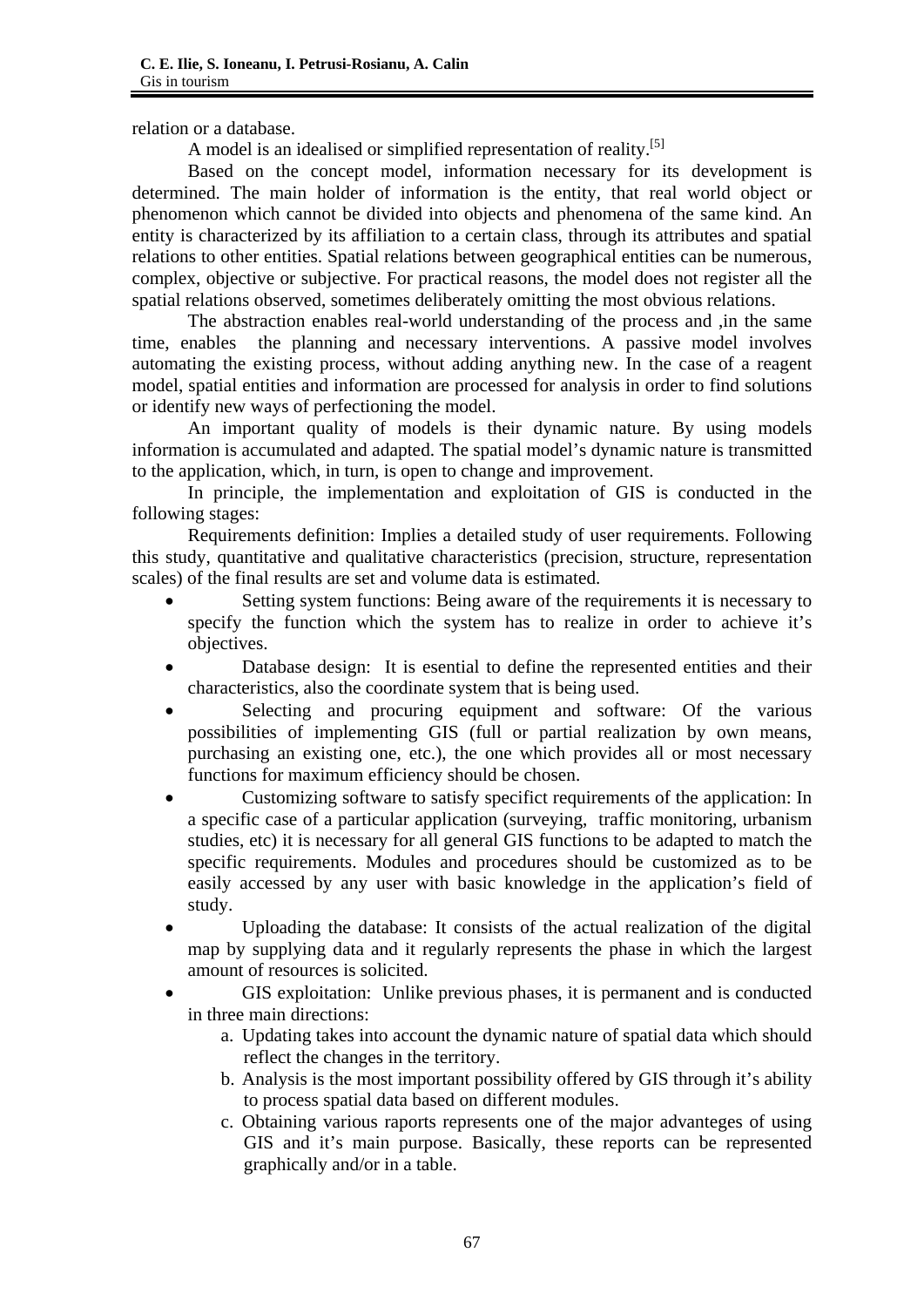relation or a database.

A model is an idealised or simplified representation of reality.[5]

Based on the concept model, information necessary for its development is determined. The main holder of information is the entity, that real world object or phenomenon which cannot be divided into objects and phenomena of the same kind. An entity is characterized by its affiliation to a certain class, through its attributes and spatial relations to other entities. Spatial relations between geographical entities can be numerous, complex, objective or subjective. For practical reasons, the model does not register all the spatial relations observed, sometimes deliberately omitting the most obvious relations.

The abstraction enables real-world understanding of the process and ,in the same time, enables the planning and necessary interventions. A passive model involves automating the existing process, without adding anything new. In the case of a reagent model, spatial entities and information are processed for analysis in order to find solutions or identify new ways of perfectioning the model.

An important quality of models is their dynamic nature. By using models information is accumulated and adapted. The spatial model's dynamic nature is transmitted to the application, which, in turn, is open to change and improvement.

In principle, the implementation and exploitation of GIS is conducted in the following stages:

Requirements definition: Implies a detailed study of user requirements. Following this study, quantitative and qualitative characteristics (precision, structure, representation scales) of the final results are set and volume data is estimated.

- Setting system functions: Being aware of the requirements it is necessary to specify the function which the system has to realize in order to achieve it's objectives.
- Database design: It is esential to define the represented entities and their characteristics, also the coordinate system that is being used.
- Selecting and procuring equipment and software: Of the various possibilities of implementing GIS (full or partial realization by own means, purchasing an existing one, etc.), the one which provides all or most necessary functions for maximum efficiency should be chosen.
- Customizing software to satisfy specifict requirements of the application: In a specific case of a particular application (surveying, traffic monitoring, urbanism studies, etc) it is necessary for all general GIS functions to be adapted to match the specific requirements. Modules and procedures should be customized as to be easily accessed by any user with basic knowledge in the application's field of study.
- Uploading the database: It consists of the actual realization of the digital map by supplying data and it regularly represents the phase in which the largest amount of resources is solicited.
- GIS exploitation: Unlike previous phases, it is permanent and is conducted in three main directions:
	- a. Updating takes into account the dynamic nature of spatial data which should reflect the changes in the territory.
	- b. Analysis is the most important possibility offered by GIS through it's ability to process spatial data based on different modules.
	- c. Obtaining various raports represents one of the major advanteges of using GIS and it's main purpose. Basically, these reports can be represented graphically and/or in a table.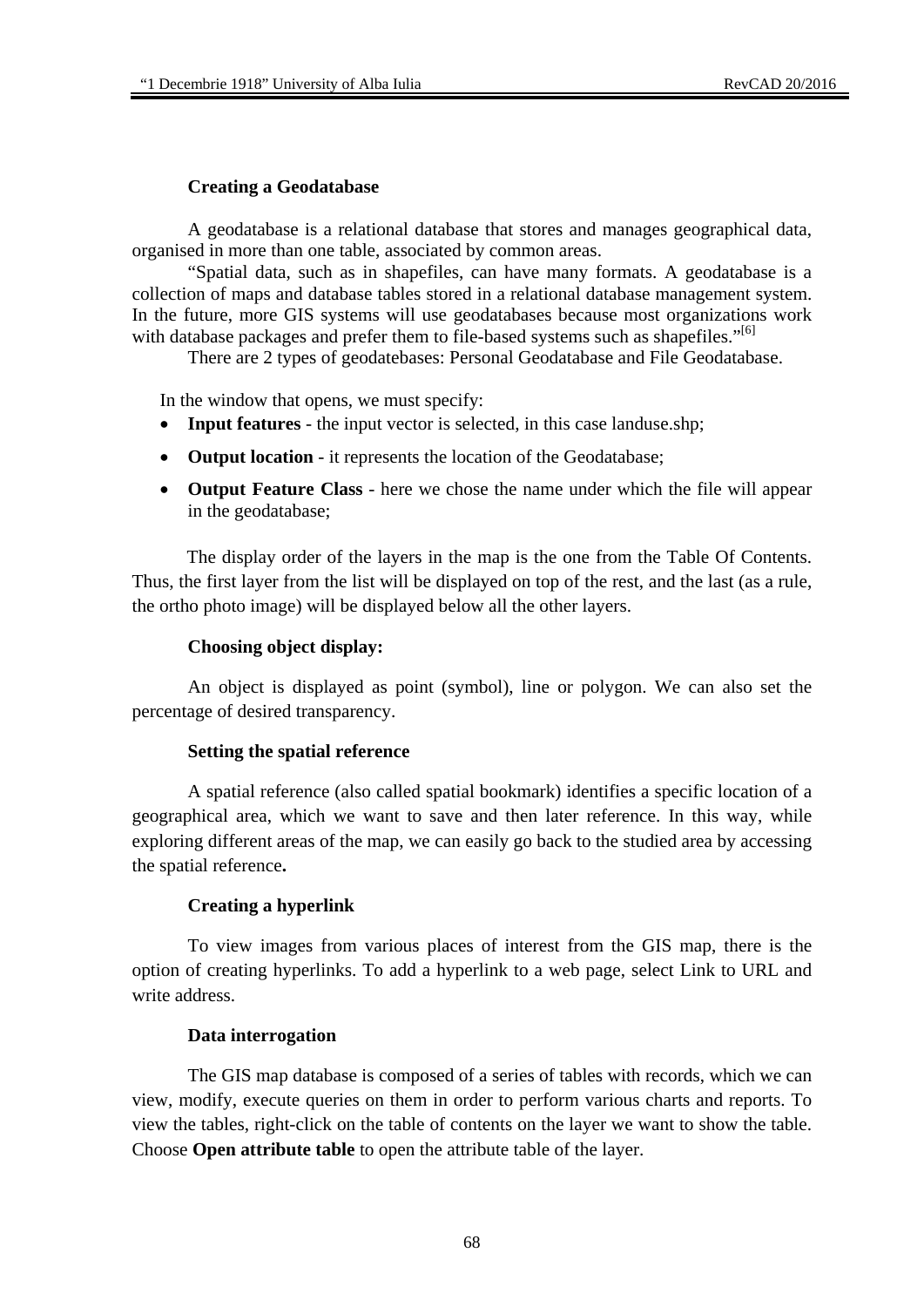## **Creating a Geodatabase**

A geodatabase is a relational database that stores and manages geographical data, organised in more than one table, associated by common areas.

"Spatial data, such as in shapefiles, can have many formats. A geodatabase is a collection of maps and database tables stored in a relational database management system. In the future, more GIS systems will use geodatabases because most organizations work with database packages and prefer them to file-based systems such as shapefiles."<sup>[6]</sup>

There are 2 types of geodatebases: Personal Geodatabase and File Geodatabase.

In the window that opens, we must specify:

- **Input features** the input vector is selected, in this case landuse.shp;
- **Output location** it represents the location of the Geodatabase;
- **Output Feature Class** here we chose the name under which the file will appear in the geodatabase;

 The display order of the layers in the map is the one from the Table Of Contents. Thus, the first layer from the list will be displayed on top of the rest, and the last (as a rule, the ortho photo image) will be displayed below all the other layers.

### **Choosing object display:**

An object is displayed as point (symbol), line or polygon. We can also set the percentage of desired transparency.

### **Setting the spatial reference**

A spatial reference (also called spatial bookmark) identifies a specific location of a geographical area, which we want to save and then later reference. In this way, while exploring different areas of the map, we can easily go back to the studied area by accessing the spatial reference**.** 

### **Creating a hyperlink**

To view images from various places of interest from the GIS map, there is the option of creating hyperlinks. To add a hyperlink to a web page, select Link to URL and write address.

### **Data interrogation**

The GIS map database is composed of a series of tables with records, which we can view, modify, execute queries on them in order to perform various charts and reports. To view the tables, right-click on the table of contents on the layer we want to show the table. Choose **Open attribute table** to open the attribute table of the layer.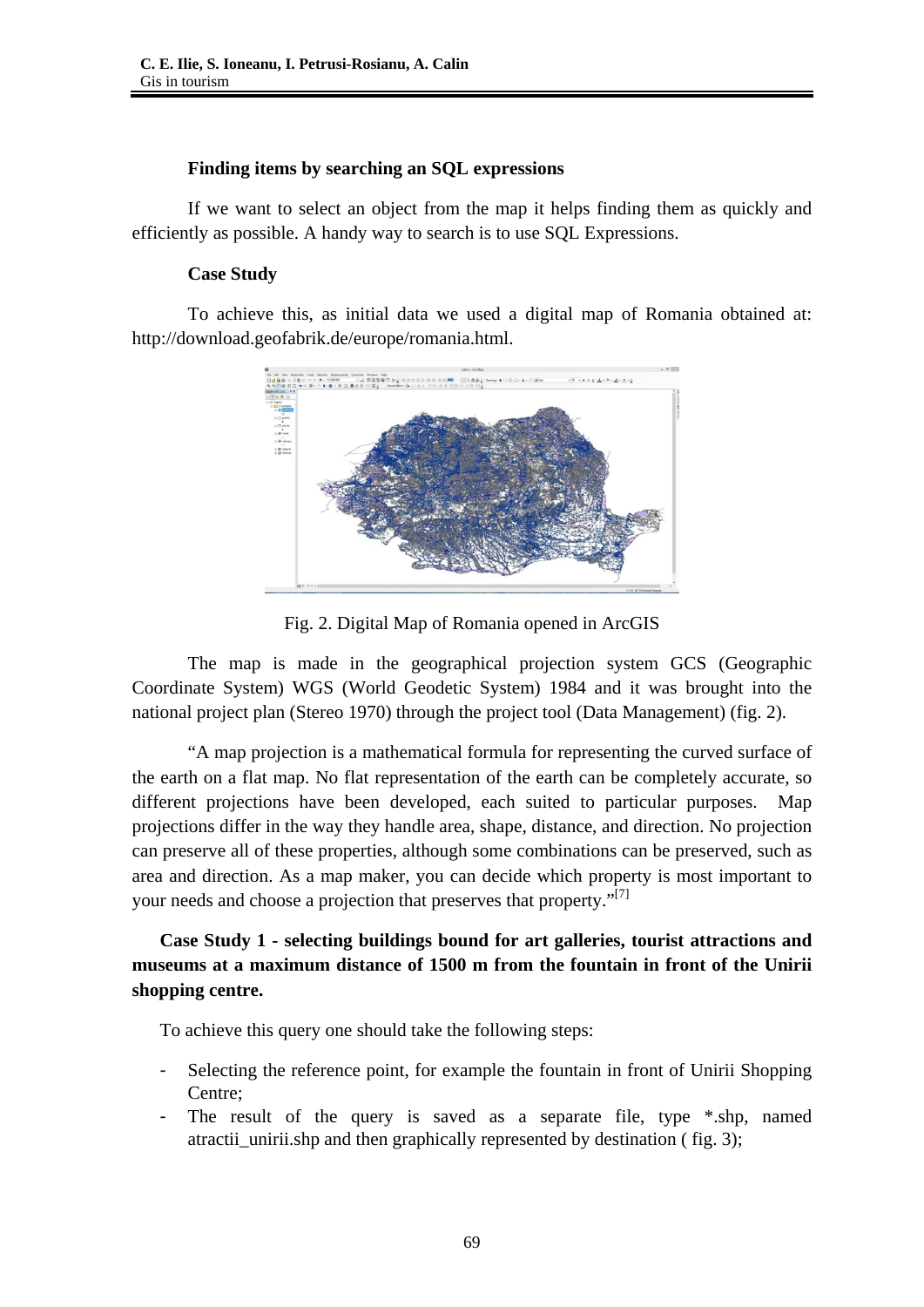## **Finding items by searching an SQL expressions**

If we want to select an object from the map it helps finding them as quickly and efficiently as possible. A handy way to search is to use SQL Expressions.

## **Case Study**

To achieve this, as initial data we used a digital map of Romania obtained at: http://download.geofabrik.de/europe/romania.html.



Fig. 2. Digital Map of Romania opened in ArcGIS

The map is made in the geographical projection system GCS (Geographic Coordinate System) WGS (World Geodetic System) 1984 and it was brought into the national project plan (Stereo 1970) through the project tool (Data Management) (fig. 2).

"A map projection is a mathematical formula for representing the curved surface of the earth on a flat map. No flat representation of the earth can be completely accurate, so different projections have been developed, each suited to particular purposes. Map projections differ in the way they handle area, shape, distance, and direction. No projection can preserve all of these properties, although some combinations can be preserved, such as area and direction. As a map maker, you can decide which property is most important to your needs and choose a projection that preserves that property."<sup>[7]</sup>

# **Case Study 1 - selecting buildings bound for art galleries, tourist attractions and museums at a maximum distance of 1500 m from the fountain in front of the Unirii shopping centre.**

To achieve this query one should take the following steps:

- Selecting the reference point, for example the fountain in front of Unirii Shopping Centre;
- The result of the query is saved as a separate file, type  $*$ .shp, named atractii unirii.shp and then graphically represented by destination ( fig. 3);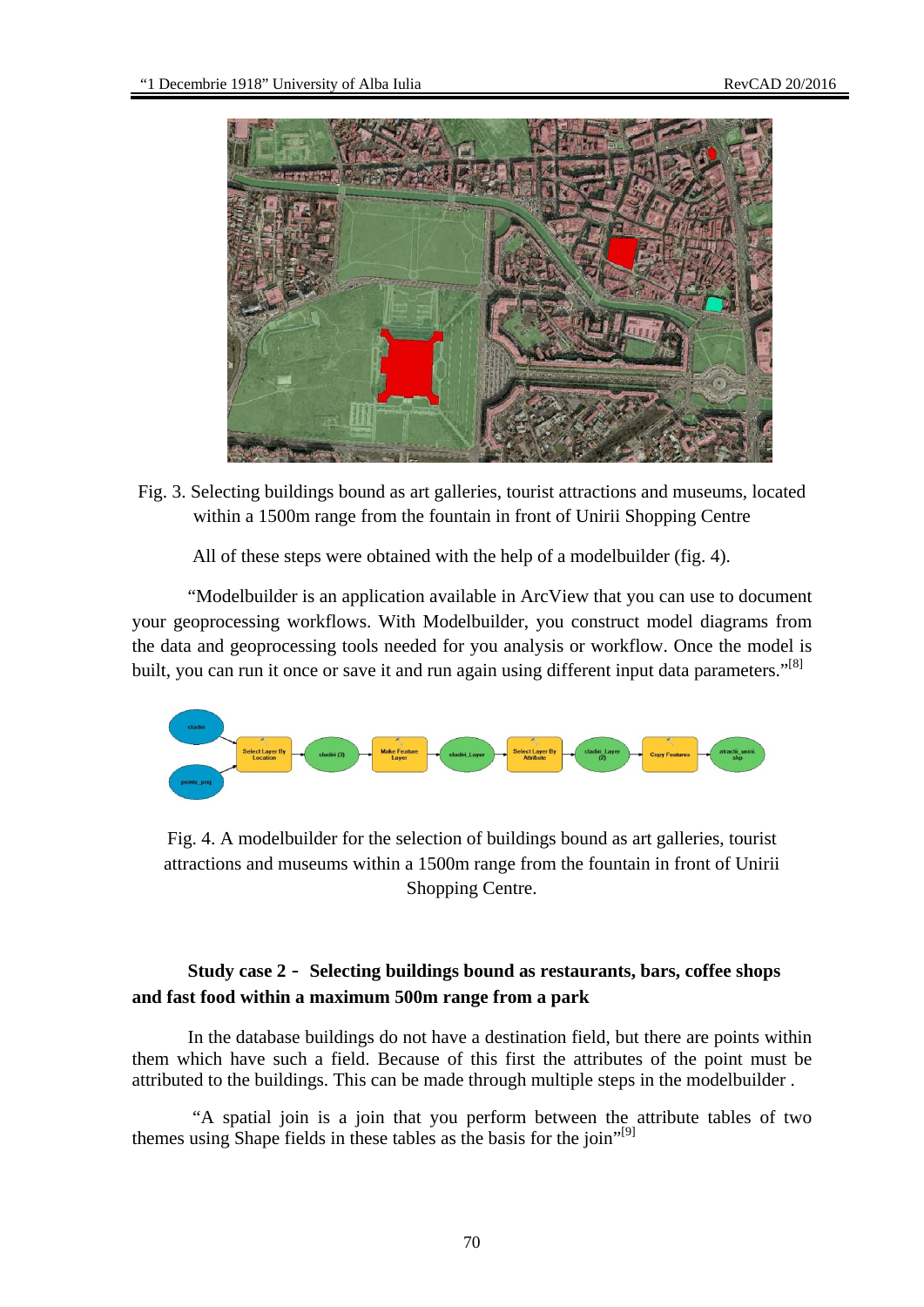

Fig. 3. Selecting buildings bound as art galleries, tourist attractions and museums, located within a 1500m range from the fountain in front of Unirii Shopping Centre

All of these steps were obtained with the help of a modelbuilder (fig. 4).

"Modelbuilder is an application available in ArcView that you can use to document your geoprocessing workflows. With Modelbuilder, you construct model diagrams from the data and geoprocessing tools needed for you analysis or workflow. Once the model is built, you can run it once or save it and run again using different input data parameters."<sup>[8]</sup>



Fig. 4. A modelbuilder for the selection of buildings bound as art galleries, tourist attractions and museums within a 1500m range from the fountain in front of Unirii Shopping Centre.

# **Study case 2** - **Selecting buildings bound as restaurants, bars, coffee shops and fast food within a maximum 500m range from a park**

In the database buildings do not have a destination field, but there are points within them which have such a field. Because of this first the attributes of the point must be attributed to the buildings. This can be made through multiple steps in the modelbuilder .

 "A spatial join is a join that you perform between the attribute tables of two themes using Shape fields in these tables as the basis for the join"<sup>[9]</sup>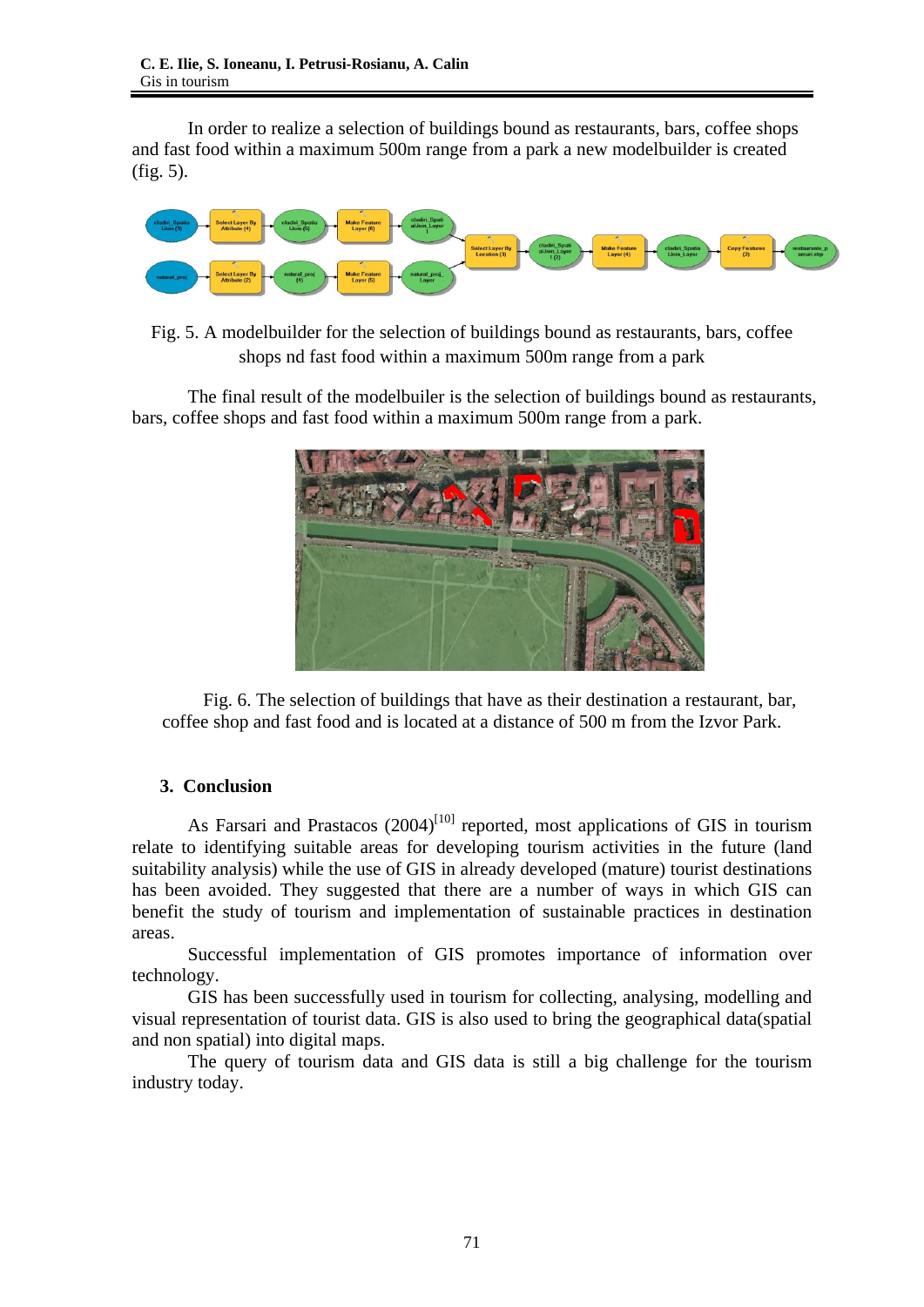In order to realize a selection of buildings bound as restaurants, bars, coffee shops and fast food within a maximum 500m range from a park a new modelbuilder is created (fig. 5).



Fig. 5. A modelbuilder for the selection of buildings bound as restaurants, bars, coffee shops nd fast food within a maximum 500m range from a park

The final result of the modelbuiler is the selection of buildings bound as restaurants, bars, coffee shops and fast food within a maximum 500m range from a park.



Fig. 6. The selection of buildings that have as their destination a restaurant, bar, coffee shop and fast food and is located at a distance of 500 m from the Izvor Park.

# **3. Conclusion**

As Farsari and Prastacos  $(2004)^{[10]}$  reported, most applications of GIS in tourism relate to identifying suitable areas for developing tourism activities in the future (land suitability analysis) while the use of GIS in already developed (mature) tourist destinations has been avoided. They suggested that there are a number of ways in which GIS can benefit the study of tourism and implementation of sustainable practices in destination areas.

Successful implementation of GIS promotes importance of information over technology.

GIS has been successfully used in tourism for collecting, analysing, modelling and visual representation of tourist data. GIS is also used to bring the geographical data(spatial and non spatial) into digital maps.

The query of tourism data and GIS data is still a big challenge for the tourism industry today.